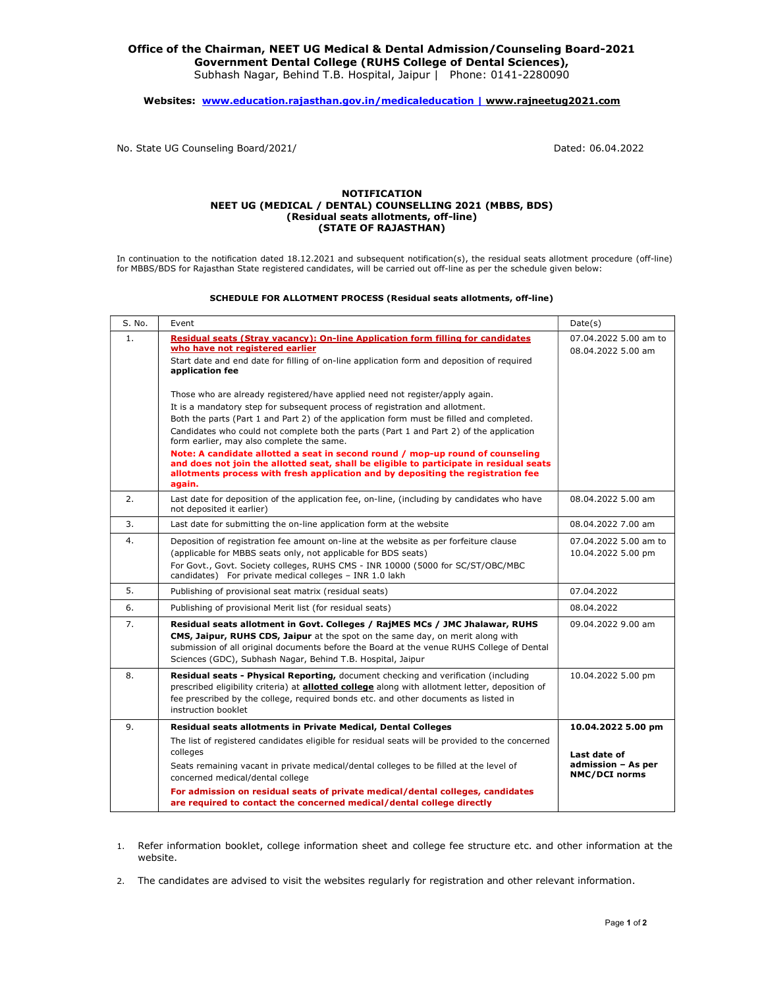## Office of the Chairman, NEET UG Medical & Dental Admission/Counseling Board-2021 Government Dental College (RUHS College of Dental Sciences),

Subhash Nagar, Behind T.B. Hospital, Jaipur | Phone: 0141-2280090

## Websites: www.education.rajasthan.gov.in/medicaleducation | www.rajneetug2021.com

No. State UG Counseling Board/2021/ Dated: 06.04.2022

## NOTIFICATION NEET UG (MEDICAL / DENTAL) COUNSELLING 2021 (MBBS, BDS) (Residual seats allotments, off-line) (STATE OF RAJASTHAN)

In continuation to the notification dated 18.12.2021 and subsequent notification(s), the residual seats allotment procedure (off-line) for MBBS/BDS for Rajasthan State registered candidates, will be carried out off-line as per the schedule given below:

## SCHEDULE FOR ALLOTMENT PROCESS (Residual seats allotments, off-line)

| S. No. | Event                                                                                                                                                                                                                                                                                                      | Date(s)                                                    |
|--------|------------------------------------------------------------------------------------------------------------------------------------------------------------------------------------------------------------------------------------------------------------------------------------------------------------|------------------------------------------------------------|
| 1.     | Residual seats (Stray vacancy): On-line Application form filling for candidates<br>who have not registered earlier<br>Start date and end date for filling of on-line application form and deposition of required<br>application fee                                                                        | 07.04.2022 5.00 am to<br>08.04.2022 5.00 am                |
|        | Those who are already registered/have applied need not register/apply again.                                                                                                                                                                                                                               |                                                            |
|        | It is a mandatory step for subsequent process of registration and allotment.<br>Both the parts (Part 1 and Part 2) of the application form must be filled and completed.                                                                                                                                   |                                                            |
|        | Candidates who could not complete both the parts (Part 1 and Part 2) of the application<br>form earlier, may also complete the same.                                                                                                                                                                       |                                                            |
|        | Note: A candidate allotted a seat in second round / mop-up round of counseling<br>and does not join the allotted seat, shall be eligible to participate in residual seats<br>allotments process with fresh application and by depositing the registration fee<br>again.                                    |                                                            |
| 2.     | Last date for deposition of the application fee, on-line, (including by candidates who have<br>not deposited it earlier)                                                                                                                                                                                   | 08.04.2022 5.00 am                                         |
| 3.     | Last date for submitting the on-line application form at the website                                                                                                                                                                                                                                       | 08.04.2022 7.00 am                                         |
| 4.     | Deposition of registration fee amount on-line at the website as per forfeiture clause<br>(applicable for MBBS seats only, not applicable for BDS seats)<br>For Govt., Govt. Society colleges, RUHS CMS - INR 10000 (5000 for SC/ST/OBC/MBC<br>candidates) For private medical colleges - INR 1.0 lakh      | 07.04.2022 5.00 am to<br>10.04.2022 5.00 pm                |
| 5.     | Publishing of provisional seat matrix (residual seats)                                                                                                                                                                                                                                                     | 07.04.2022                                                 |
| 6.     | Publishing of provisional Merit list (for residual seats)                                                                                                                                                                                                                                                  | 08.04.2022                                                 |
| 7.     | Residual seats allotment in Govt. Colleges / RajMES MCs / JMC Jhalawar, RUHS<br>CMS, Jaipur, RUHS CDS, Jaipur at the spot on the same day, on merit along with<br>submission of all original documents before the Board at the venue RUHS College of Dental                                                | 09.04.2022 9.00 am                                         |
|        | Sciences (GDC), Subhash Nagar, Behind T.B. Hospital, Jaipur                                                                                                                                                                                                                                                |                                                            |
| 8.     | Residual seats - Physical Reporting, document checking and verification (including<br>prescribed eligibility criteria) at <b>allotted college</b> along with allotment letter, deposition of<br>fee prescribed by the college, required bonds etc. and other documents as listed in<br>instruction booklet | 10.04.2022 5.00 pm                                         |
| 9.     | Residual seats allotments in Private Medical, Dental Colleges                                                                                                                                                                                                                                              | 10.04.2022 5.00 pm                                         |
|        | The list of registered candidates eligible for residual seats will be provided to the concerned                                                                                                                                                                                                            |                                                            |
|        | colleges<br>Seats remaining vacant in private medical/dental colleges to be filled at the level of<br>concerned medical/dental college                                                                                                                                                                     | Last date of<br>admission - As per<br><b>NMC/DCI norms</b> |
|        | For admission on residual seats of private medical/dental colleges, candidates<br>are required to contact the concerned medical/dental college directly                                                                                                                                                    |                                                            |

- 1. Refer information booklet, college information sheet and college fee structure etc. and other information at the website.
- 2. The candidates are advised to visit the websites regularly for registration and other relevant information.